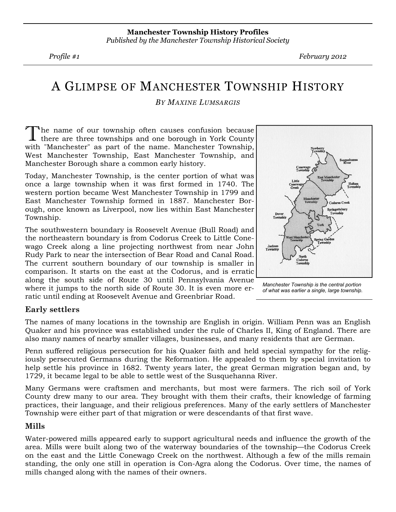Profile #1 February 2012

# A GLIMPSE OF MANCHESTER TOWNSHIP HISTORY

### BY MAXINE LUMSARGIS

The name of our township often causes confusion because there are three townships and one borough in York County with "Manchester" as part of the name. Manchester Township, West Manchester Township, East Manchester Township, and Manchester Borough share a common early history.

Today, Manchester Township, is the center portion of what was once a large township when it was first formed in 1740. The western portion became West Manchester Township in 1799 and East Manchester Township formed in 1887. Manchester Borough, once known as Liverpool, now lies within East Manchester Township.

The southwestern boundary is Roosevelt Avenue (Bull Road) and the northeastern boundary is from Codorus Creek to Little Conewago Creek along a line projecting northwest from near John Rudy Park to near the intersection of Bear Road and Canal Road. The current southern boundary of our township is smaller in comparison. It starts on the east at the Codorus, and is erratic along the south side of Route 30 until Pennsylvania Avenue where it jumps to the north side of Route 30. It is even more erratic until ending at Roosevelt Avenue and Greenbriar Road.





# Early settlers

The names of many locations in the township are English in origin. William Penn was an English Quaker and his province was established under the rule of Charles II, King of England. There are also many names of nearby smaller villages, businesses, and many residents that are German.

Penn suffered religious persecution for his Quaker faith and held special sympathy for the religiously persecuted Germans during the Reformation. He appealed to them by special invitation to help settle his province in 1682. Twenty years later, the great German migration began and, by 1729, it became legal to be able to settle west of the Susquehanna River.

Many Germans were craftsmen and merchants, but most were farmers. The rich soil of York County drew many to our area. They brought with them their crafts, their knowledge of farming practices, their language, and their religious preferences. Many of the early settlers of Manchester Township were either part of that migration or were descendants of that first wave.

# Mills

Water-powered mills appeared early to support agricultural needs and influence the growth of the area. Mills were built along two of the waterway boundaries of the township—the Codorus Creek on the east and the Little Conewago Creek on the northwest. Although a few of the mills remain standing, the only one still in operation is Con-Agra along the Codorus. Over time, the names of mills changed along with the names of their owners.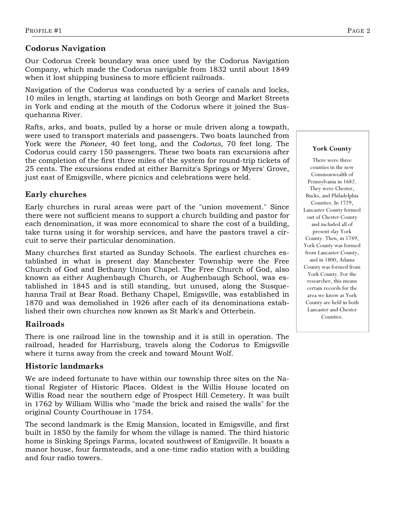# Codorus Navigation

Our Codorus Creek boundary was once used by the Codorus Navigation Company, which made the Codorus navigable from 1832 until about 1849 when it lost shipping business to more efficient railroads.

Navigation of the Codorus was conducted by a series of canals and locks, 10 miles in length, starting at landings on both George and Market Streets in York and ending at the mouth of the Codorus where it joined the Susquehanna River.

Rafts, arks, and boats, pulled by a horse or mule driven along a towpath, were used to transport materials and passengers. Two boats launched from York were the Pioneer, 40 feet long, and the Codorus, 70 feet long. The Codorus could carry 150 passengers. These two boats ran excursions after the completion of the first three miles of the system for round-trip tickets of 25 cents. The excursions ended at either Barnitz's Springs or Myers' Grove, just east of Emigsville, where picnics and celebrations were held.

# Early churches

Early churches in rural areas were part of the "union movement." Since there were not sufficient means to support a church building and pastor for each denomination, it was more economical to share the cost of a building, take turns using it for worship services, and have the pastors travel a circuit to serve their particular denomination.

Many churches first started as Sunday Schools. The earliest churches established in what is present day Manchester Township were the Free Church of God and Bethany Union Chapel. The Free Church of God, also known as either Aughenbaugh Church, or Aughenbaugh School, was established in 1845 and is still standing, but unused, along the Susquehanna Trail at Bear Road. Bethany Chapel, Emigsville, was established in 1870 and was demolished in 1926 after each of its denominations established their own churches now known as St Mark's and Otterbein.

# Railroads

There is one railroad line in the township and it is still in operation. The railroad, headed for Harrisburg, travels along the Codorus to Emigsville where it turns away from the creek and toward Mount Wolf.

# Historic landmarks

We are indeed fortunate to have within our township three sites on the National Register of Historic Places. Oldest is the Willis House located on Willis Road near the southern edge of Prospect Hill Cemetery. It was built in 1762 by William Willis who "made the brick and raised the walls" for the original County Courthouse in 1754.

The second landmark is the Emig Mansion, located in Emigsville, and first built in 1850 by the family for whom the village is named. The third historic home is Sinking Springs Farms, located southwest of Emigsville. It boasts a manor house, four farmsteads, and a one-time radio station with a building and four radio towers.

#### York County

There were three counties in the new Commonwealth of Pennsylvania in 1682. They were Chester, Bucks, and Philadelphia Counties. In 1729, Lancaster County formed out of Chester County and included all of present-day York County. Then, in 1749, York County was formed from Lancaster County, and in 1800, Adams County was formed from York County. For the researcher, this means certain records for the area we know as York County are held in both Lancaster and Chester **Counties**.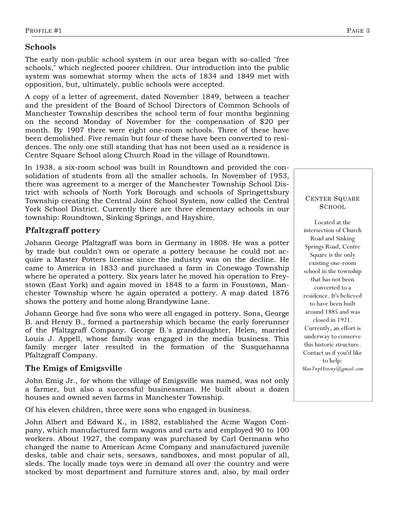# Schools

The early non-public school system in our area began with so-called "free schools," which neglected poorer children. Our introduction into the public system was somewhat stormy when the acts of 1834 and 1849 met with opposition, but, ultimately, public schools were accepted.

A copy of a letter of agreement, dated November 1849, between a teacher and the president of the Board of School Directors of Common Schools of Manchester Township describes the school term of four months beginning on the second Monday of November for the compensation of \$20 per month. By 1907 there were eight one-room schools. Three of these have been demolished. Five remain but four of these have been converted to residences. The only one still standing that has not been used as a residence is Centre Square School along Church Road in the village of Roundtown.

In 1938, a six-room school was built in Roundtown and provided the consolidation of students from all the smaller schools. In November of 1953, there was agreement to a merger of the Manchester Township School District with schools of North York Borough and schools of Springettsbury Township creating the Central Joint School System, now called the Central York School District. Currently there are three elementary schools in our township: Roundtown, Sinking Springs, and Hayshire.

# Pfaltzgraff pottery

Johann George Pfaltzgraff was born in Germany in 1808. He was a potter by trade but couldn't own or operate a pottery because he could not acquire a Master Potters license since the industry was on the decline. He came to America in 1833 and purchased a farm in Conewago Township where he operated a pottery. Six years later he moved his operation to Freystown (East York) and again moved in 1848 to a farm in Foustown, Manchester Township where he again operated a pottery. A map dated 1876 shows the pottery and home along Brandywine Lane.

Johann George had five sons who were all engaged in pottery. Sons, George B. and Henry B., formed a partnership which became the early forerunner of the Pfaltzgraff Company. George B.'s granddaughter, Helen, married Louis J. Appell, whose family was engaged in the media business. This family merger later resulted in the formation of the Susquehanna Pfaltzgraff Company.

### The Emigs of Emigsville

John Emig Jr., for whom the village of Emigsville was named, was not only a farmer, but also a successful businessman. He built about a dozen houses and owned seven farms in Manchester Township.

Of his eleven children, three were sons who engaged in business.

John Albert and Edward K., in 1882, established the Acme Wagon Company, which manufactured farm wagons and carts and employed 90 to 100 workers. About 1927, the company was purchased by Carl Oermann who changed the name to American Acme Company and manufactured juvenile desks, table and chair sets, seesaws, sandboxes, and most popular of all, sleds. The locally made toys were in demand all over the country and were stocked by most department and furniture stores and, also, by mail order

### CENTER SQUARE SCHOOL

Located at the intersection of Church Road and Sinking Springs Road, Centre Square is the only existing one-room school in the township that has not been converted to a residence. It's believed to have been built around 1885 and was closed in 1921. Currently, an effort is underway to conserve this historic structure. Contact us if you'd like to help: ManTwpHistory@gmail.com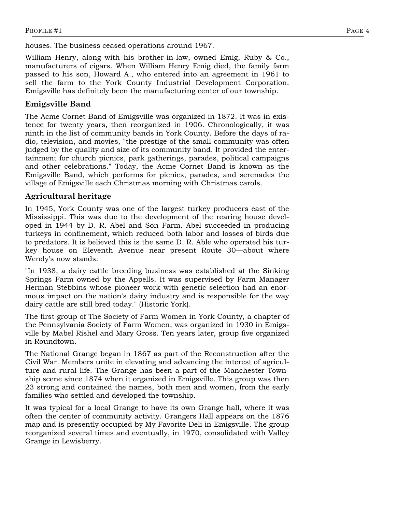houses. The business ceased operations around 1967.

William Henry, along with his brother-in-law, owned Emig, Ruby & Co., manufacturers of cigars. When William Henry Emig died, the family farm passed to his son, Howard A., who entered into an agreement in 1961 to sell the farm to the York County Industrial Development Corporation. Emigsville has definitely been the manufacturing center of our township.

# Emigsville Band

The Acme Cornet Band of Emigsville was organized in 1872. It was in existence for twenty years, then reorganized in 1906. Chronologically, it was ninth in the list of community bands in York County. Before the days of radio, television, and movies, "the prestige of the small community was often judged by the quality and size of its community band. It provided the entertainment for church picnics, park gatherings, parades, political campaigns and other celebrations." Today, the Acme Cornet Band is known as the Emigsville Band, which performs for picnics, parades, and serenades the village of Emigsville each Christmas morning with Christmas carols.

# Agricultural heritage

In 1945, York County was one of the largest turkey producers east of the Mississippi. This was due to the development of the rearing house developed in 1944 by D. R. Abel and Son Farm. Abel succeeded in producing turkeys in confinement, which reduced both labor and losses of birds due to predators. It is believed this is the same D. R. Able who operated his turkey house on Eleventh Avenue near present Route 30—about where Wendy's now stands.

"In 1938, a dairy cattle breeding business was established at the Sinking Springs Farm owned by the Appells. It was supervised by Farm Manager Herman Stebbins whose pioneer work with genetic selection had an enormous impact on the nation's dairy industry and is responsible for the way dairy cattle are still bred today." (Historic York).

The first group of The Society of Farm Women in York County, a chapter of the Pennsylvania Society of Farm Women, was organized in 1930 in Emigsville by Mabel Rishel and Mary Gross. Ten years later, group five organized in Roundtown.

The National Grange began in 1867 as part of the Reconstruction after the Civil War. Members unite in elevating and advancing the interest of agriculture and rural life. The Grange has been a part of the Manchester Township scene since 1874 when it organized in Emigsville. This group was then 23 strong and contained the names, both men and women, from the early families who settled and developed the township.

It was typical for a local Grange to have its own Grange hall, where it was often the center of community activity. Grangers Hall appears on the 1876 map and is presently occupied by My Favorite Deli in Emigsville. The group reorganized several times and eventually, in 1970, consolidated with Valley Grange in Lewisberry.